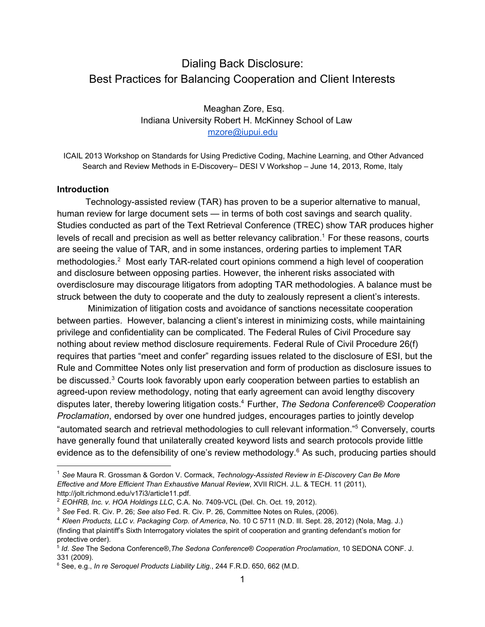# Dialing Back Disclosure: Best Practices for Balancing Cooperation and Client Interests

Meaghan Zore, Esq. Indiana University Robert H. McKinney School of Law [mzore@iupui.edu](mailto:mzore@iupui.edu)

ICAIL 2013 Workshop on Standards for Using Predictive Coding, Machine Learning, and Other Advanced Search and Review Methods in E-Discovery– DESI V Workshop – June 14, 2013, Rome, Italy

#### **Introduction**

Technology-assisted review (TAR) has proven to be a superior alternative to manual, human review for large document sets — in terms of both cost savings and search quality. Studies conducted as part of the Text Retrieval Conference (TREC) show TAR produces higher levels of recall and precision as well as better relevancy calibration.<sup>1</sup> For these reasons, courts are seeing the value of TAR, and in some instances, ordering parties to implement TAR methodologies.<sup>2</sup> Most early TAR-related court opinions commend a high level of cooperation and disclosure between opposing parties. However, the inherent risks associated with overdisclosure may discourage litigators from adopting TAR methodologies. A balance must be struck between the duty to cooperate and the duty to zealously represent a client's interests.

Minimization of litigation costs and avoidance of sanctions necessitate cooperation between parties. However, balancing a client's interest in minimizing costs, while maintaining privilege and confidentiality can be complicated. The Federal Rules of Civil Procedure say nothing about review method disclosure requirements. Federal Rule of Civil Procedure 26(f) requires that parties "meet and confer" regarding issues related to the disclosure of ESI, but the Rule and Committee Notes only list preservation and form of production as disclosure issues to be discussed.<sup>3</sup> Courts look favorably upon early cooperation between parties to establish an agreed-upon review methodology, noting that early agreement can avoid lengthy discovery disputes later, thereby lowering litigation costs.<sup>4</sup> Further, *The Sedona Conference® Cooperation Proclamation*, endorsed by over one hundred judges, encourages parties to jointly develop "automated search and retrieval methodologies to cull relevant information."<sup>5</sup> Conversely, courts have generally found that unilaterally created keyword lists and search protocols provide little evidence as to the defensibility of one's review methodology. $6$  As such, producing parties should

<sup>1</sup> *See* Maura R. Grossman & Gordon V. Cormack, *TechnologyAssisted Review in EDiscovery Can Be More Effective and More Efficient Than Exhaustive Manual Review*, XVII RICH. J.L. & TECH. 11 (2011), http://jolt.richmond.edu/v17i3/article11.pdf.

<sup>2</sup> *EOHRB, Inc. v. HOA [Holdings](http://www.google.com/url?q=http%3A%2F%2Fwww.ediscoverylawinsights.com%2F2012%2F10%2Fdelaware-chancery-court-orders-parties-to-use-predictive-coding-and-shared-e-discovery-vendor%2F&sa=D&sntz=1&usg=AFQjCNHa7DXOCw0xkb9WOHv4n1_-HNMiMQ) LLC*, C.A. No. [7409VCL](http://www.google.com/url?q=http%3A%2F%2Fwww.ediscoverylawinsights.com%2F2012%2F10%2Fdelaware-chancery-court-orders-parties-to-use-predictive-coding-and-shared-e-discovery-vendor%2F&sa=D&sntz=1&usg=AFQjCNHa7DXOCw0xkb9WOHv4n1_-HNMiMQ) (Del. Ch. Oct. 19, 2012).

<sup>3</sup> *See* Fed. R. Civ. P. 26; *See also* Fed. R. Civ. P. 26, Committee Notes on Rules, (2006).

<sup>4</sup> *Kleen Products, LLC v. Packaging Corp. of America*, No. 10 C 5711 (N.D. Ill. Sept. 28, 2012) (Nola, Mag. J.) (finding that plaintiff's Sixth Interrogatory violates the spirit of cooperation and granting defendant's motion for protective order).

<sup>5</sup> *Id*. *See* The Sedona Conference®,*The Sedona Conference*® *Cooperation Proclamation*, 10 SEDONA CONF. J. 331 (2009).

<sup>6</sup> See, e.g., *In re Seroquel Products Liability Litig.*, 244 F.R.D. 650, 662 (M.D.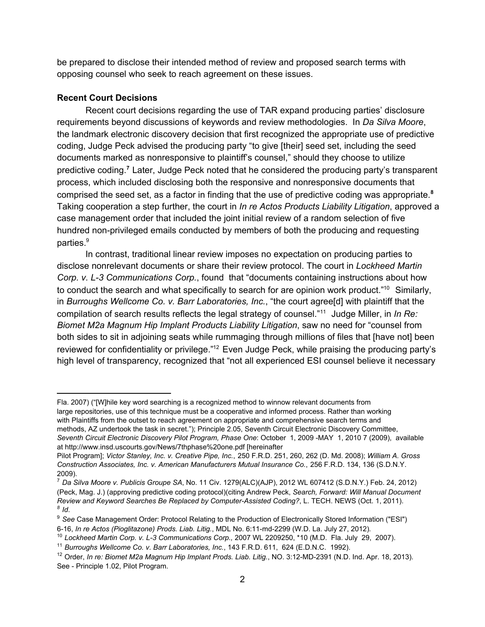be prepared to disclose their intended method of review and proposed search terms with opposing counsel who seek to reach agreement on these issues.

#### **Recent Court Decisions**

Recent court decisions regarding the use of TAR expand producing parties' disclosure requirements beyond discussions of keywords and review methodologies. In *Da Silva Moore*, the landmark electronic discovery decision that first recognized the appropriate use of predictive coding, Judge Peck advised the producing party "to give [their] seed set, including the seed documents marked as nonresponsive to plaintiff's counsel," should they choose to utilize predictive coding.<sup>7</sup> Later, Judge Peck noted that he considered the producing party's transparent process, which included disclosing both the responsive and nonresponsive documents that comprised the seed set, as a factor in finding that the use of predictive coding was appropriate. **8** Taking cooperation a step further, the court in *In re Actos Products Liability Litigation*, approved a case management order that included the joint initial review of a random selection of five hundred non-privileged emails conducted by members of both the producing and requesting parties. 9

In contrast, traditional linear review imposes no expectation on producing parties to disclose nonrelevant documents or share their review protocol. The court in *Lockheed Martin Corp. v. L3 Communications Corp.*, found that "documents containing instructions about how to conduct the search and what specifically to search for are opinion work product."<sup>10</sup> Similarly, in *Burroughs Wellcome Co. v. Barr Laboratories, Inc.*, "the court agree[d] with plaintiff that the compilation of search results reflects the legal strategy of counsel."<sup>11</sup> Judge Miller, in *In Re: Biomet M2a Magnum Hip Implant Products Liability Litigation*, saw no need for "counsel from both sides to sit in adjoining seats while rummaging through millions of files that [have not] been reviewed for confidentiality or privilege."<sup>12</sup> Even Judge Peck, while praising the producing party's high level of transparency, recognized that "not all experienced ESI counsel believe it necessary

<sup>10</sup> *Lockheed Martin Corp. v. L3 Communications Corp.,* 2007 WL 2209250, \*10 (M.D. Fla. July 29, 2007).

Fla. 2007) ("[W]hile key word searching is a recognized method to winnow relevant documents from large repositories, use of this technique must be a cooperative and informed process. Rather than working with Plaintiffs from the outset to reach agreement on appropriate and comprehensive search terms and methods, AZ undertook the task in secret."); Principle 2.05, Seventh Circuit Electronic Discovery Committee, *Seventh Circuit Electronic Discovery Pilot Program, Phase One*: October 1, 2009 MAY 1, 2010 7 (2009), available at http://www.insd.uscourts.gov/News/7thphase%20one.pdf [hereinafter

Pilot Program]; *Victor Stanley, Inc. v. Creative Pipe, Inc.*, 250 F.R.D. 251, 260, 262 (D. Md. 2008); *William A. Gross Construction Associates, Inc. v. American Manufacturers Mutual Insurance Co.*, 256 F.R.D. 134, 136 (S.D.N.Y. 2009).

<sup>7</sup> *Da Silva Moore v. Publicis Groupe SA*, No. 11 Civ. 1279(ALC)(AJP), 2012 WL 607412 (S.D.N.Y.) Feb. 24, 2012) (Peck, Mag. J.) (approving predictive coding protocol)(citing Andrew Peck, *Search, Forward: Will Manual Document Review and Keyword Searches Be Replaced by ComputerAssisted Coding?*, L. TECH. NEWS (Oct. 1, 2011). *8 Id*.

<sup>9</sup> *See* Case Management Order: Protocol Relating to the Production of Electronically Stored Information ("ESI") 616, *In re Actos (Pioglitazone) Prods. Liab. Litig.*, MDL No. 6:11md2299 (W.D. La. July 27, 2012)*.*

<sup>11</sup> *Burroughs Wellcome Co. v. Barr Laboratories, Inc.*, 143 F.R.D. 611, 624 (E.D.N.C. 1992).

<sup>12</sup> Order, *In re: Biomet M2a Magnum Hip Implant Prods. Liab. Litig.*, NO. 3:12MD2391 (N.D. Ind. Apr. 18, 2013). See - Principle 1.02, Pilot Program.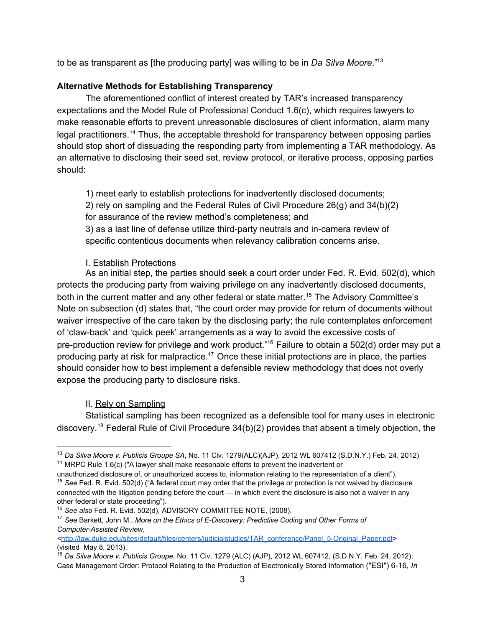to be as transparent as [the producing party] was willing to be in *Da Silva Moore*." 13

## **Alternative Methods for Establishing Transparency**

The aforementioned conflict of interest created by TAR's increased transparency expectations and the Model Rule of Professional Conduct 1.6(c), which requires lawyers to make reasonable efforts to prevent unreasonable disclosures of client information, alarm many legal practitioners.<sup>14</sup> Thus, the acceptable threshold for transparency between opposing parties should stop short of dissuading the responding party from implementing a TAR methodology. As an alternative to disclosing their seed set, review protocol, or iterative process, opposing parties should:

1) meet early to establish protections for inadvertently disclosed documents;

2) rely on sampling and the Federal Rules of Civil Procedure 26(g) and 34(b)(2) for assurance of the review method's completeness; and

3) as a last line of defense utilize third-party neutrals and in-camera review of specific contentious documents when relevancy calibration concerns arise.

#### I. Establish Protections

As an initial step, the parties should seek a court order under Fed. R. Evid. 502(d), which protects the producing party from waiving privilege on any inadvertently disclosed documents, both in the current matter and any other federal or state matter.<sup>15</sup> The Advisory Committee's Note on subsection (d) states that, "the court order may provide for return of documents without waiver irrespective of the care taken by the disclosing party; the rule contemplates enforcement of 'clawback' and 'quick peek' arrangements as a way to avoid the excessive costs of pre-production review for privilege and work product."<sup>16</sup> Failure to obtain a 502(d) order may put a producing party at risk for malpractice.<sup>17</sup> Once these initial protections are in place, the parties should consider how to best implement a defensible review methodology that does not overly expose the producing party to disclosure risks.

## II. Rely on Sampling

Statistical sampling has been recognized as a defensible tool for many uses in electronic discovery.<sup>18</sup> Federal Rule of Civil Procedure  $34(b)(2)$  provides that absent a timely objection, the

<sup>13</sup> *Da Silva Moore v. Publicis Groupe SA*, No. 11 Civ. 1279(ALC)(AJP), 2012 WL 607412 (S.D.N.Y.) Feb. 24, 2012) <sup>14</sup> MRPC Rule 1.6(c) ("A lawyer shall make reasonable efforts to prevent the inadvertent or

unauthorized disclosure of, or unauthorized access to, information relating to the representation of a client").

<sup>15</sup> *See* Fed. R. Evid. 502(d) ("A federal court may order that the privilege or protection is not waived by disclosure connected with the litigation pending before the court — in which event the disclosure is also not a waiver in any other federal or state proceeding").

<sup>16</sup> *See also* Fed. R. Evid. 502(d), ADVISORY COMMITTEE NOTE, (2008).

<sup>17</sup> *See* Barkett, John M., *More on the Ethics of EDiscovery: Predictive Coding and Other Forms of ComputerAssisted Review*,

*<sup>&</sup>lt;*[http://law.duke.edu/sites/default/files/centers/judicialstudies/TAR\\_conference/Panel\\_5Original\\_Paper.pdf>](http://www.google.com/url?q=http%3A%2F%2Flaw.duke.edu%2Fsites%2Fdefault%2Ffiles%2Fcenters%2Fjudicialstudies%2FTAR_conference%2FPanel_5-Original_Paper.pdf&sa=D&sntz=1&usg=AFQjCNHUlbz03E0x1IX4myQDaVLCEJK10Q) (visited May 8, 2013).

<sup>18</sup> *Da Silva Moore v. Publicis Groupe*, No. 11 Civ. 1279 (ALC) (AJP), 2012 WL 607412, (S.D.N.Y. Feb. 24, 2012); Case Management Order: Protocol Relating to the Production of Electronically Stored Information ("ESI") 616, *In*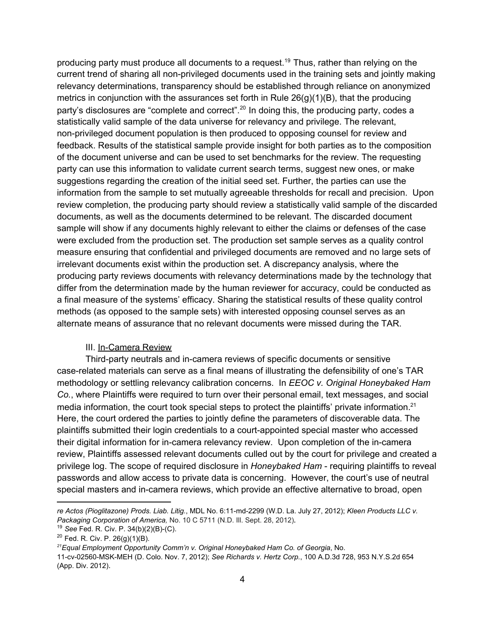producing party must produce all documents to a request.<sup>19</sup> Thus, rather than relying on the current trend of sharing all non-privileged documents used in the training sets and jointly making relevancy determinations, transparency should be established through reliance on anonymized metrics in conjunction with the assurances set forth in Rule  $26(q)(1)(B)$ , that the producing party's disclosures are "complete and correct".<sup>20</sup> In doing this, the producing party, codes a statistically valid sample of the data universe for relevancy and privilege. The relevant, non-privileged document population is then produced to opposing counsel for review and feedback. Results of the statistical sample provide insight for both parties as to the composition of the document universe and can be used to set benchmarks for the review. The requesting party can use this information to validate current search terms, suggest new ones, or make suggestions regarding the creation of the initial seed set. Further, the parties can use the information from the sample to set mutually agreeable thresholds for recall and precision. Upon review completion, the producing party should review a statistically valid sample of the discarded documents, as well as the documents determined to be relevant. The discarded document sample will show if any documents highly relevant to either the claims or defenses of the case were excluded from the production set. The production set sample serves as a quality control measure ensuring that confidential and privileged documents are removed and no large sets of irrelevant documents exist within the production set. A discrepancy analysis, where the producing party reviews documents with relevancy determinations made by the technology that differ from the determination made by the human reviewer for accuracy, could be conducted as a final measure of the systems' efficacy. Sharing the statistical results of these quality control methods (as opposed to the sample sets) with interested opposing counsel serves as an alternate means of assurance that no relevant documents were missed during the TAR.

#### III. In-Camera Review

Third-party neutrals and in-camera reviews of specific documents or sensitive case-related materials can serve as a final means of illustrating the defensibility of one's TAR methodology or settling relevancy calibration concerns. In *EEOC v. Original Honeybaked Ham Co.*, where Plaintiffs were required to turn over their personal email, text messages, and social media information, the court took special steps to protect the plaintiffs' private information.<sup>21</sup> Here, the court ordered the parties to jointly define the parameters of discoverable data. The plaintiffs submitted their login credentials to a court-appointed special master who accessed their digital information for in-camera relevancy review. Upon completion of the in-camera review, Plaintiffs assessed relevant documents culled out by the court for privilege and created a privilege log. The scope of required disclosure in *Honeybaked Ham* requiring plaintiffs to reveal passwords and allow access to private data is concerning. However, the court's use of neutral special masters and in-camera reviews, which provide an effective alternative to broad, open

*re Actos (Pioglitazone) Prods. Liab. Litig.*, MDL No. 6:11md2299 (W.D. La. July 27, 2012); *Kleen Products LLC v. Packaging Corporation of America,* No. 10 C 5711 (N.D. Ill. Sept. 28, 2012).

<sup>&</sup>lt;sup>19</sup> See Fed. R. Civ. P. 34(b)(2)(B)-(C).

 $20$  Fed. R. Civ. P.  $26(g)(1)(B)$ .

*<sup>21</sup>Equal Employment Opportunity Comm'n v. Original Honeybaked Ham Co. of Georgia*, No.

<sup>11-</sup>cv-02560-MSK-MEH (D. Colo. Nov. 7, 2012); See Richards v. Hertz Corp., 100 A.D.3d 728, 953 N.Y.S.2d 654 (App. Div. 2012).